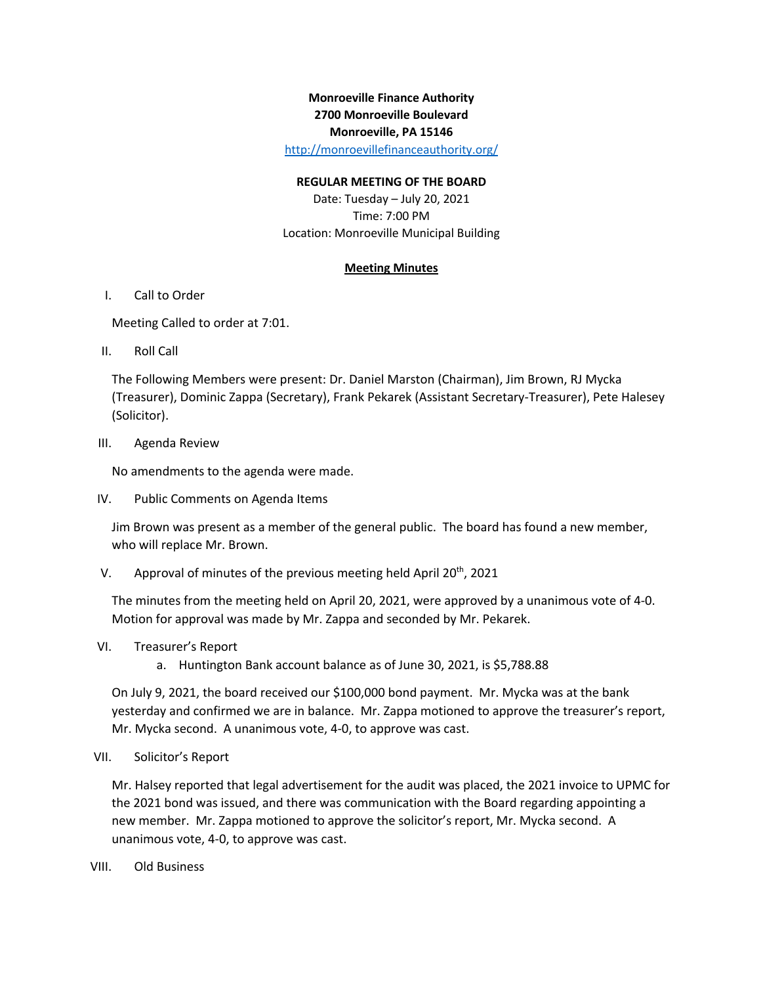# **Monroeville Finance Authority 2700 Monroeville Boulevard Monroeville, PA 15146**

http://monroevillefinanceauthority.org/

#### **REGULAR MEETING OF THE BOARD**

Date: Tuesday – July 20, 2021 Time: 7:00 PM Location: Monroeville Municipal Building

### **Meeting Minutes**

### I. Call to Order

Meeting Called to order at 7:01.

II. Roll Call

The Following Members were present: Dr. Daniel Marston (Chairman), Jim Brown, RJ Mycka (Treasurer), Dominic Zappa (Secretary), Frank Pekarek (Assistant Secretary-Treasurer), Pete Halesey (Solicitor).

III. Agenda Review

No amendments to the agenda were made.

IV. Public Comments on Agenda Items

Jim Brown was present as a member of the general public. The board has found a new member, who will replace Mr. Brown.

V. Approval of minutes of the previous meeting held April 20<sup>th</sup>, 2021

The minutes from the meeting held on April 20, 2021, were approved by a unanimous vote of 4-0. Motion for approval was made by Mr. Zappa and seconded by Mr. Pekarek.

## VI. Treasurer's Report

a. Huntington Bank account balance as of June 30, 2021, is \$5,788.88

On July 9, 2021, the board received our \$100,000 bond payment. Mr. Mycka was at the bank yesterday and confirmed we are in balance. Mr. Zappa motioned to approve the treasurer's report, Mr. Mycka second. A unanimous vote, 4-0, to approve was cast.

#### VII. Solicitor's Report

Mr. Halsey reported that legal advertisement for the audit was placed, the 2021 invoice to UPMC for the 2021 bond was issued, and there was communication with the Board regarding appointing a new member. Mr. Zappa motioned to approve the solicitor's report, Mr. Mycka second. A unanimous vote, 4-0, to approve was cast.

VIII. Old Business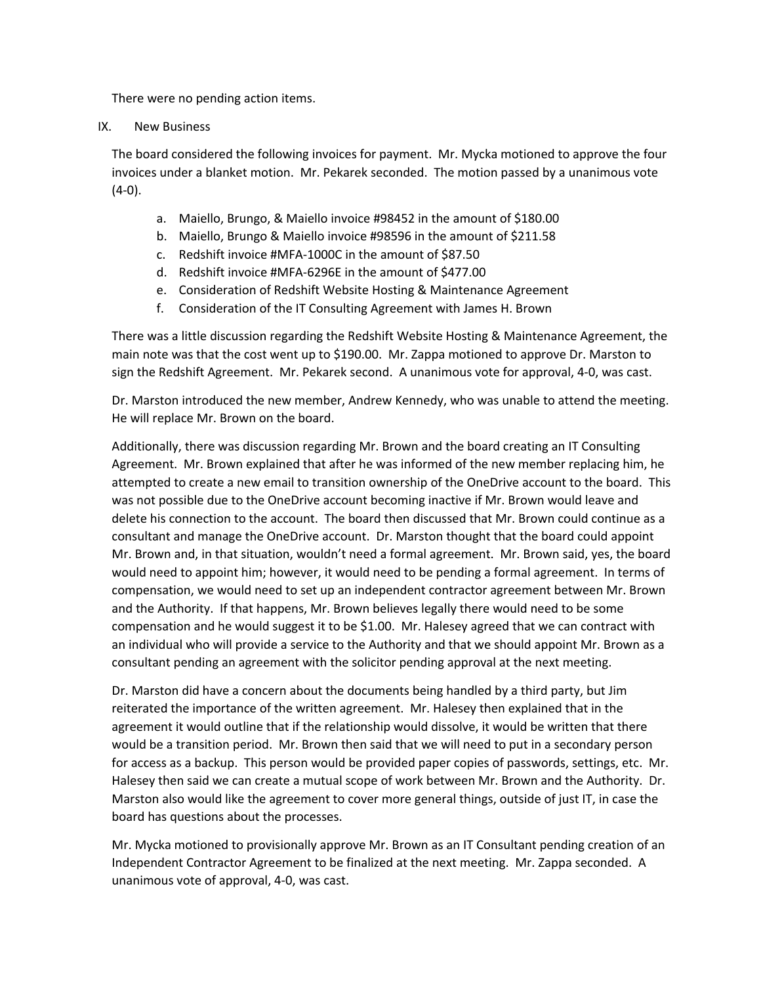There were no pending action items.

### IX. New Business

The board considered the following invoices for payment. Mr. Mycka motioned to approve the four invoices under a blanket motion. Mr. Pekarek seconded. The motion passed by a unanimous vote (4-0).

- a. Maiello, Brungo, & Maiello invoice #98452 in the amount of \$180.00
- b. Maiello, Brungo & Maiello invoice #98596 in the amount of \$211.58
- c. Redshift invoice #MFA-1000C in the amount of \$87.50
- d. Redshift invoice #MFA-6296E in the amount of \$477.00
- e. Consideration of Redshift Website Hosting & Maintenance Agreement
- f. Consideration of the IT Consulting Agreement with James H. Brown

There was a little discussion regarding the Redshift Website Hosting & Maintenance Agreement, the main note was that the cost went up to \$190.00. Mr. Zappa motioned to approve Dr. Marston to sign the Redshift Agreement. Mr. Pekarek second. A unanimous vote for approval, 4-0, was cast.

Dr. Marston introduced the new member, Andrew Kennedy, who was unable to attend the meeting. He will replace Mr. Brown on the board.

Additionally, there was discussion regarding Mr. Brown and the board creating an IT Consulting Agreement. Mr. Brown explained that after he was informed of the new member replacing him, he attempted to create a new email to transition ownership of the OneDrive account to the board. This was not possible due to the OneDrive account becoming inactive if Mr. Brown would leave and delete his connection to the account. The board then discussed that Mr. Brown could continue as a consultant and manage the OneDrive account. Dr. Marston thought that the board could appoint Mr. Brown and, in that situation, wouldn't need a formal agreement. Mr. Brown said, yes, the board would need to appoint him; however, it would need to be pending a formal agreement. In terms of compensation, we would need to set up an independent contractor agreement between Mr. Brown and the Authority. If that happens, Mr. Brown believes legally there would need to be some compensation and he would suggest it to be \$1.00. Mr. Halesey agreed that we can contract with an individual who will provide a service to the Authority and that we should appoint Mr. Brown as a consultant pending an agreement with the solicitor pending approval at the next meeting.

Dr. Marston did have a concern about the documents being handled by a third party, but Jim reiterated the importance of the written agreement. Mr. Halesey then explained that in the agreement it would outline that if the relationship would dissolve, it would be written that there would be a transition period. Mr. Brown then said that we will need to put in a secondary person for access as a backup. This person would be provided paper copies of passwords, settings, etc. Mr. Halesey then said we can create a mutual scope of work between Mr. Brown and the Authority. Dr. Marston also would like the agreement to cover more general things, outside of just IT, in case the board has questions about the processes.

Mr. Mycka motioned to provisionally approve Mr. Brown as an IT Consultant pending creation of an Independent Contractor Agreement to be finalized at the next meeting. Mr. Zappa seconded. A unanimous vote of approval, 4-0, was cast.